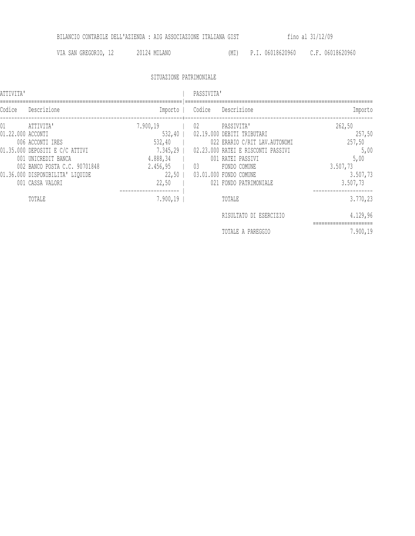BILANCIO CONTABILE DELL'AZIENDA : AIG ASSOCIAZIONE ITALIANA GIST fino al 31/12/09

VIA SAN GREGORIO, 12 20124 MILANO (MI) P.I. 06018620960 C.F. 06018620960

SITUAZIONE PATRIMONIALE

ATTIVITA' | PASSIVITA'

| Importo                                                                        | Descrizione                                                                                                                                                                                               | Codice   | Importo                                                                                 | Descrizione                                                                                                                                                                      | Codice            |
|--------------------------------------------------------------------------------|-----------------------------------------------------------------------------------------------------------------------------------------------------------------------------------------------------------|----------|-----------------------------------------------------------------------------------------|----------------------------------------------------------------------------------------------------------------------------------------------------------------------------------|-------------------|
| 262,50<br>257,50<br>257,50<br>5,00<br>5,00<br>3.507,73<br>3.507,73<br>3.507,73 | PASSIVITA'<br>02.19.000 DEBITI TRIBUTARI<br>022 ERARIO C/RIT LAV. AUTONOMI<br>02.23.000 RATEI E RISCONTI PASSIVI<br>001 RATEI PASSIVI<br>FONDO COMUNE<br>03.01.000 FONDO COMUNE<br>021 FONDO PATRIMONIALE | 02<br>03 | 7.900,19<br>532,40<br>532,40<br>$7.345, 29$  <br>4.888,34<br>2.456,95<br>22,50<br>22,50 | ATTIVITA'<br>006 ACCONTI IRES<br>01.35.000 DEPOSITI E C/C ATTIVI<br>001 UNICREDIT BANCA<br>002 BANCO POSTA C.C. 90701848<br>01.36.000 DISPONIBILITA' LIQUIDE<br>001 CASSA VALORI | 01.22.000 ACCONTI |
| 3.770,23<br>4.129,96                                                           | TOTALE<br>RISULTATO DI ESERCIZIO                                                                                                                                                                          |          | 7.900,19                                                                                | TOTALE                                                                                                                                                                           |                   |
| 7.900,19                                                                       | TOTALE A PAREGGIO                                                                                                                                                                                         |          |                                                                                         |                                                                                                                                                                                  |                   |